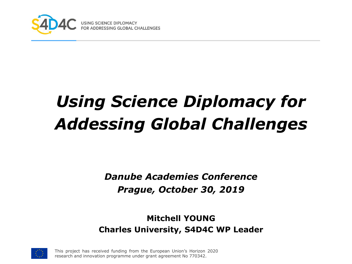

# *Using Science Diplomacy for Addessing Global Challenges*

*Danube Academies Conference Prague, October 30, 2019*

#### **Mitchell YOUNG Charles University, S4D4C WP Leader**

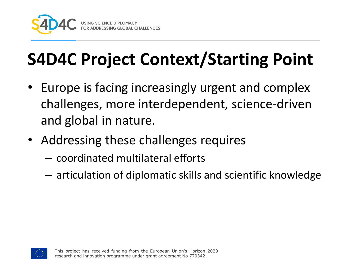

# **S4D4C Project Context/Starting Point**

- Europe is facing increasingly urgent and complex challenges, more interdependent, science-driven and global in nature.
- Addressing these challenges requires
	- coordinated multilateral efforts
	- articulation of diplomatic skills and scientific knowledge

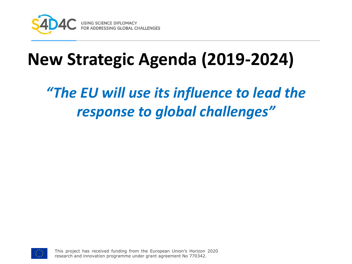

## **New Strategic Agenda (2019-2024)**

### *"The EU will use its influence to lead the response to global challenges"*

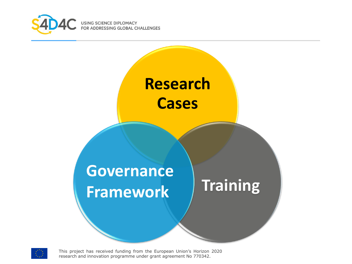



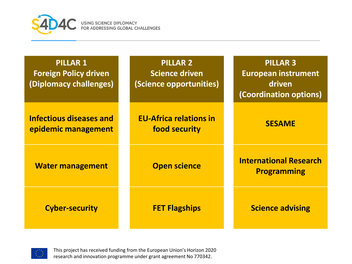

USING SCIENCE DIPLOMACY<br>FOR ADDRESSING GLOBAL CHALLENGES

| <b>PILLAR 1</b><br><b>Foreign Policy driven</b><br>(Diplomacy challenges) | <b>PILLAR 2</b><br><b>Science driven</b><br>(Science opportunities) | <b>PILLAR 3</b><br><b>European instrument</b><br>driven<br>(Coordination options) |
|---------------------------------------------------------------------------|---------------------------------------------------------------------|-----------------------------------------------------------------------------------|
| <b>Infectious diseases and</b><br>epidemic management                     | <b>EU-Africa relations in</b><br>food security                      | <b>SESAME</b>                                                                     |
| <b>Water management</b>                                                   | <b>Open science</b>                                                 | <b>International Research</b><br><b>Programming</b>                               |
| <b>Cyber-security</b>                                                     | <b>FET Flagships</b>                                                | <b>Science advising</b>                                                           |

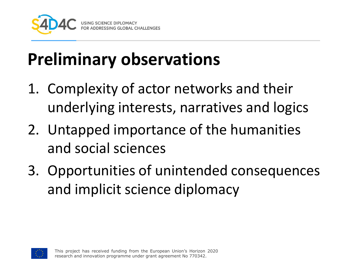

# **Preliminary observations**

- 1. Complexity of actor networks and their underlying interests, narratives and logics
- 2. Untapped importance of the humanities and social sciences
- 3. Opportunities of unintended consequences and implicit science diplomacy

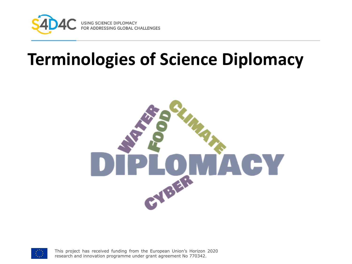

### **Terminologies of Science Diplomacy**